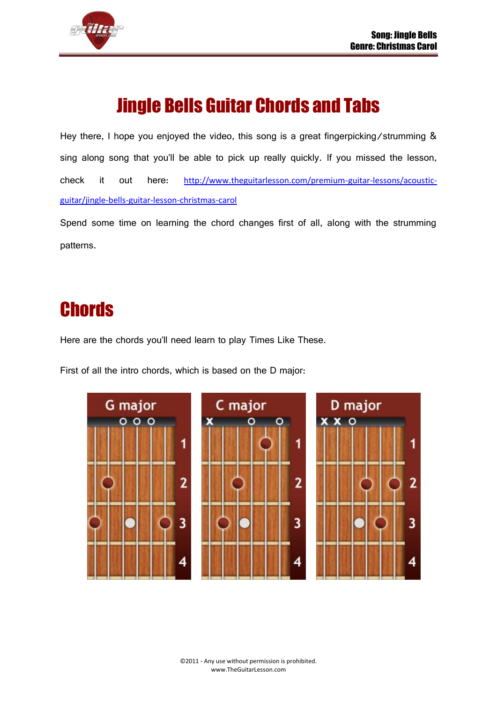

# Jingle Bells Guitar Chords and Tabs

Hey there, I hope you enjoyed the video, this song is a great fingerpicking/strumming & sing along song that you'll be able to pick up really quickly. If you missed the lesson, check it out here: [http://www.theguitarlesson.com/premium-guitar-lessons/acoustic](http://www.theguitarlesson.com/premium-guitar-lessons/acoustic-guitar/jingle-bells-guitar-lesson-christmas-carol)[guitar/jingle-bells-guitar-lesson-christmas-carol](http://www.theguitarlesson.com/premium-guitar-lessons/acoustic-guitar/jingle-bells-guitar-lesson-christmas-carol)

Spend some time on learning the chord changes first of all, along with the strumming patterns.

### **Chords**

Here are the chords you'll need learn to play Times Like These.

First of all the intro chords, which is based on the D major:

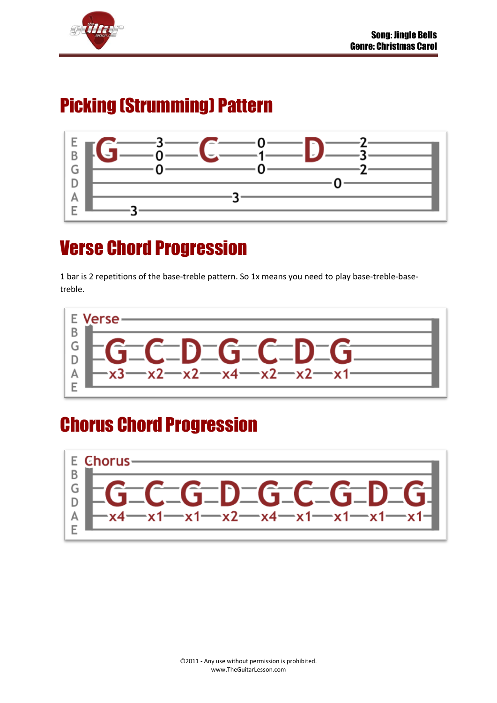

## Picking (Strumming) Pattern



## Verse Chord Progression

1 bar is 2 repetitions of the base-treble pattern. So 1x means you need to play base-treble-basetreble.



## Chorus Chord Progression

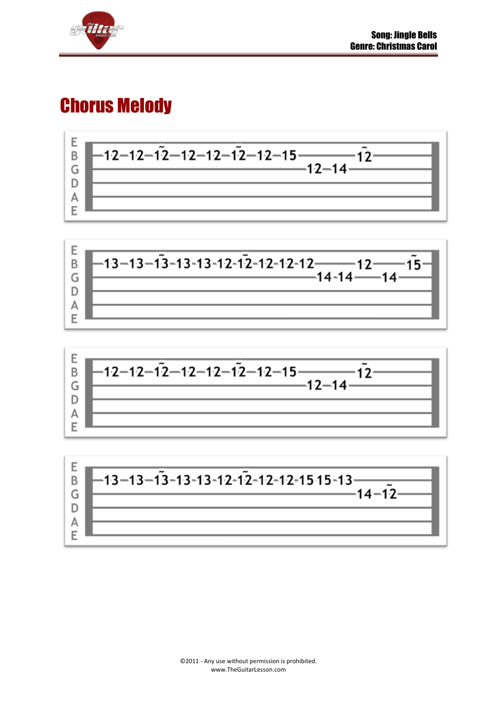

#### Chorus Melody







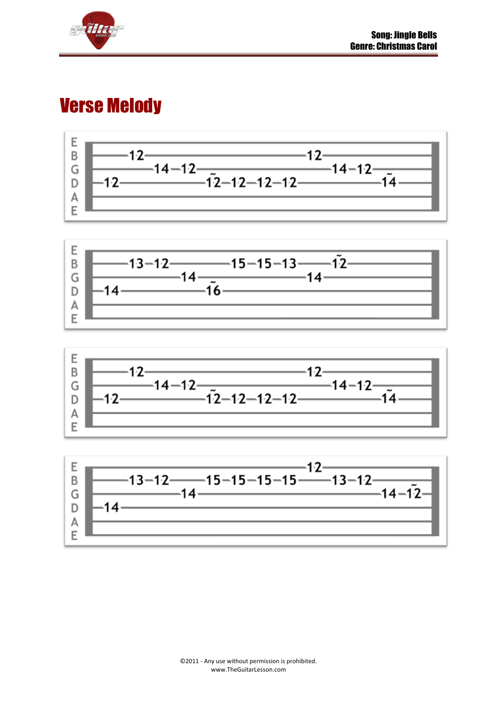

#### Verse Melody







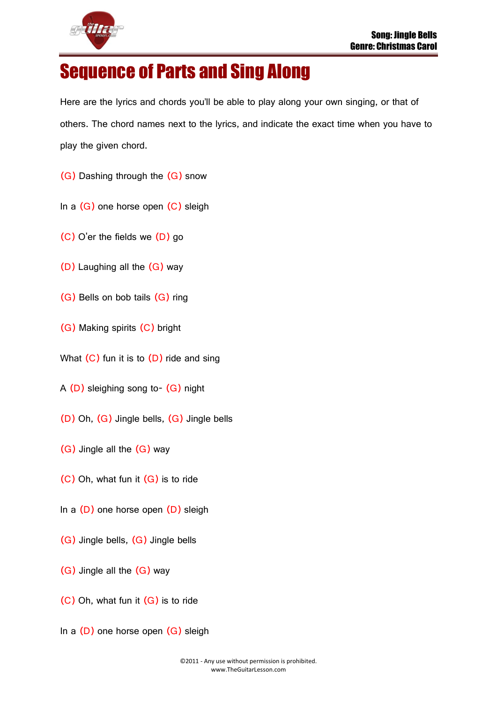

#### Sequence of Parts and Sing Along

Here are the lyrics and chords you'll be able to play along your own singing, or that of others. The chord names next to the lyrics, and indicate the exact time when you have to play the given chord.

- (G) Dashing through the (G) snow
- In a (G) one horse open (C) sleigh
- (C) O'er the fields we (D) go
- (D) Laughing all the (G) way
- (G) Bells on bob tails (G) ring
- (G) Making spirits (C) bright
- What  $(C)$  fun it is to  $(D)$  ride and sing
- A (D) sleighing song to- (G) night
- (D) Oh, (G) Jingle bells, (G) Jingle bells
- (G) Jingle all the (G) way
- (C) Oh, what fun it (G) is to ride
- In a (D) one horse open (D) sleigh
- (G) Jingle bells, (G) Jingle bells
- (G) Jingle all the (G) way
- (C) Oh, what fun it (G) is to ride
- In a  $(D)$  one horse open  $(G)$  sleigh